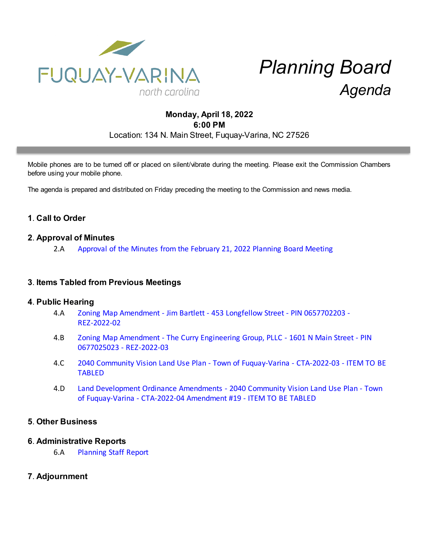

# *Planning Board Agenda*

## **Monday, April 18, 2022 6:00 PM** Location: 134 N. Main Street, Fuquay-Varina, NC 27526

Mobile phones are to be turned off or placed on silent/vibrate during the meeting. Please exit the Commission Chambers before using your mobile phone.

The agenda is prepared and distributed on Friday preceding the meeting to the Commission and news media.

## **1**. **Call to Order**

#### **2**. **Approval of Minutes**

2.A [Approval of the Minutes from the February 21, 2022 Planning Board Meeting](https://d2kbkoa27fdvtw.cloudfront.net/fuquay-varina/fb9b004891ed2d0b88a86bc3e97703830.pdf)

#### **3**. **Items Tabled from Previous Meetings**

#### **4**. **Public Hearing**

- 4.A [Zoning Map Amendment Jim Bartlett 453 Longfellow Street PIN 0657702203 -](https://d2kbkoa27fdvtw.cloudfront.net/fuquay-varina/66d61d6700e1a00c76847c88eae89e990.pdf) [REZ-2022-02](https://d2kbkoa27fdvtw.cloudfront.net/fuquay-varina/66d61d6700e1a00c76847c88eae89e990.pdf)
- 4.B [Zoning Map Amendment The Curry Engineering Group, PLLC 1601 N Main Street PIN](https://d2kbkoa27fdvtw.cloudfront.net/fuquay-varina/83577fdd59aaf4a9f4c487743dce4d420.pdf) [0677025023 - REZ-2022-03](https://d2kbkoa27fdvtw.cloudfront.net/fuquay-varina/83577fdd59aaf4a9f4c487743dce4d420.pdf)
- 4.C [2040 Community Vision Land Use Plan Town of Fuquay-Varina CTA-2022-03 ITEM TO BE](https://d2kbkoa27fdvtw.cloudfront.net/fuquay-varina/fdc4feb0e98aeb34668f8d43f3fccd4c0.pdf) [TABLED](https://d2kbkoa27fdvtw.cloudfront.net/fuquay-varina/fdc4feb0e98aeb34668f8d43f3fccd4c0.pdf)
- 4.D [Land Development Ordinance Amendments 2040 Community Vision Land Use Plan Town](https://d2kbkoa27fdvtw.cloudfront.net/fuquay-varina/a67bbacfa9b461413d7f1663a52eca380.pdf) [of Fuquay-Varina - CTA-2022-04 Amendment #19 - ITEM TO BE TABLED](https://d2kbkoa27fdvtw.cloudfront.net/fuquay-varina/a67bbacfa9b461413d7f1663a52eca380.pdf)

#### **5**. **Other Business**

#### **6**. **Administrative Reports**

6.A [Planning Staff Report](https://d2kbkoa27fdvtw.cloudfront.net/fuquay-varina/72ed6191fc3c8754a55940b377a315110.pdf)

### **7**. **Adjournment**